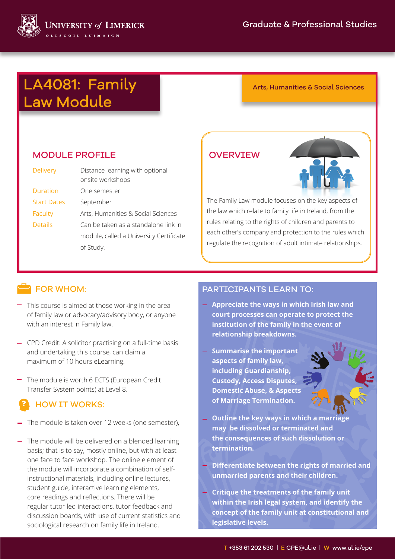

# LA4081: Family Arts, Humanities & Social Sciences Law Module

#### MODULE PROFILE

| <b>Delivery</b>    | Distance learning with optional<br>onsite workshops |
|--------------------|-----------------------------------------------------|
| Duration           | One semester                                        |
| <b>Start Dates</b> | September                                           |
| Faculty            | Arts, Humanities & Social Sciences                  |
| <b>Details</b>     | Can be taken as a standalone link in                |
|                    | module, called a University Certificate             |
|                    | of Study.                                           |

#### **OVERVIEW**



The Family Law module focuses on the key aspects of the law which relate to family life in Ireland, from the rules relating to the rights of children and parents to each other's company and protection to the rules which regulate the recognition of adult intimate relationships.

#### **FOR WHOM:**

- $-$  This course is aimed at those working in the area of family law or advocacy/advisory body, or anyone with an interest in Family law.
- CPD Credit: A solicitor practising on a full-time basis and undertaking this course, can claim a maximum of 10 hours eLearning.
- The module is worth 6 ECTS (European Credit Transfer System points) at Level 8.

# HOW IT WORKS:

- The module is taken over 12 weeks (one semester),
- $-$  The module will be delivered on a blended learning basis; that is to say, mostly online, but with at least one face to face workshop. The online element of the module will incorporate a combination of selfinstructional materials, including online lectures, student guide, interactive learning elements, core readings and reflections. There will be regular tutor led interactions, tutor feedback and discussion boards, with use of current statistics and sociological research on family life in Ireland.

#### PARTICIPANTS LEARN TO:

- **Appreciate the ways in which Irish law and court processes can operate to protect the institution of the family in the event of relationship breakdowns.**
- **Summarise the important aspects of family law, including Guardianship, Custody, Access Disputes, Domestic Abuse, & Aspects of Marriage Termination.**



- **Apply the the consequences of such dissolution or Outline the key ways in which a marriage may be dissolved or terminated and termination.**
- **and Differentiate between the rights of married and unmarried parents and their children.**
- **principles to Critique the treatments of the family unit within the Irish legal system, and identify the concept of the family unit at constitutional and legislative levels.**